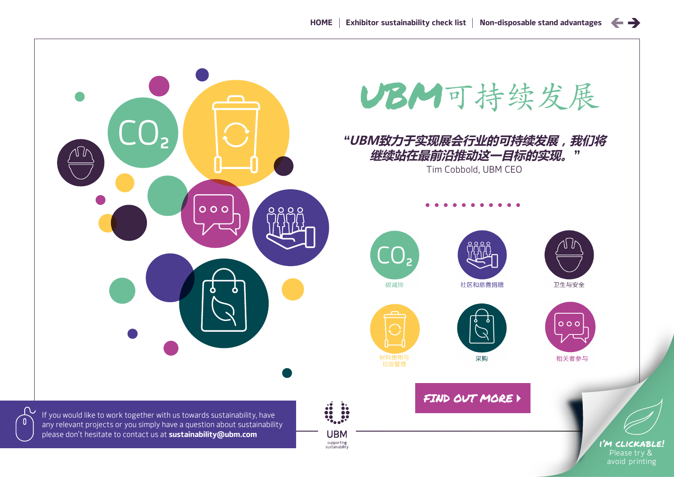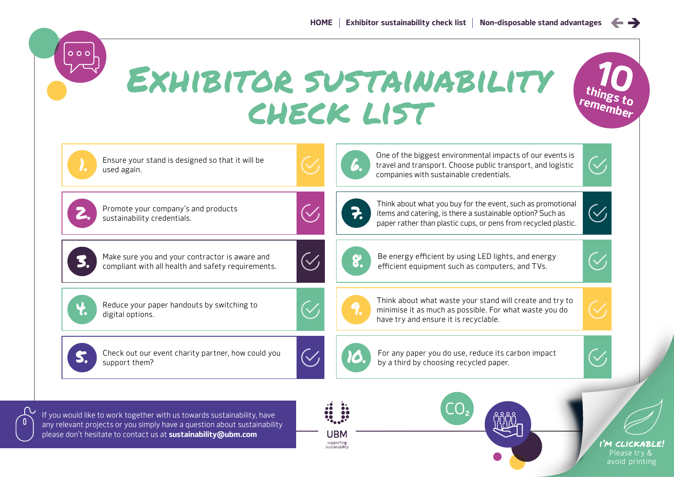$\leftrightarrow$